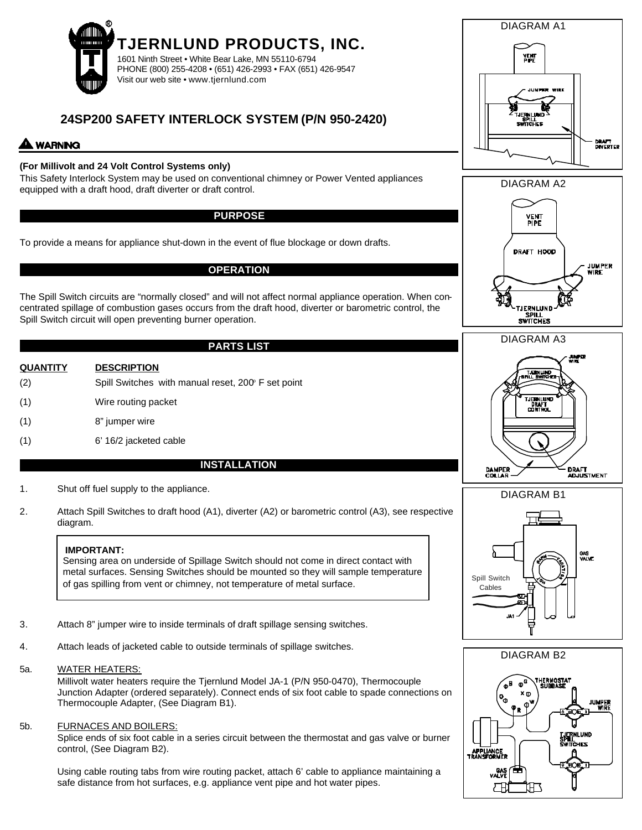

# **24SP200 SAFETY INTERLOCK SYSTEM (P/N 950-2420)**

## **WARNING**

### **(For Millivolt and 24 Volt Control Systems only)**

This Safety Interlock System may be used on conventional chimney or Power Vented appliances equipped with a draft hood, draft diverter or draft control.

#### **PURPOSE**

To provide a means for appliance shut-down in the event of flue blockage or down drafts.

#### **OPERATION**

The Spill Switch circuits are "normally closed" and will not affect normal appliance operation. When concentrated spillage of combustion gases occurs from the draft hood, diverter or barometric control, the Spill Switch circuit will open preventing burner operation.

#### **PARTS LIST**

- **QUANTITY DESCRIPTION**  $(2)$  Spill Switches with manual reset,  $200^{\circ}$  F set point (1) Wire routing packet
- (1) 8" jumper wire
- (1) 6' 16/2 jacketed cable

#### **INSTALLATION**

- 1. Shut off fuel supply to the appliance.
- 2. Attach Spill Switches to draft hood (A1), diverter (A2) or barometric control (A3), see respective diagram.

#### **IMPORTANT:**

Sensing area on underside of Spillage Switch should not come in direct contact with metal surfaces. Sensing Switches should be mounted so they will sample temperature of gas spilling from vent or chimney, not temperature of metal surface.

- 3. Attach 8" jumper wire to inside terminals of draft spillage sensing switches.
- 4. Attach leads of jacketed cable to outside terminals of spillage switches.
- 5a. WATER HEATERS:

Millivolt water heaters require the Tjernlund Model JA-1 (P/N 950-0470), Thermocouple Junction Adapter (ordered separately). Connect ends of six foot cable to spade connections on Thermocouple Adapter, (See Diagram B1).

5b. FURNACES AND BOILERS:

Splice ends of six foot cable in a series circuit between the thermostat and gas valve or burner control, (See Diagram B2).

Using cable routing tabs from wire routing packet, attach 6' cable to appliance maintaining a safe distance from hot surfaces, e.g. appliance vent pipe and hot water pipes.